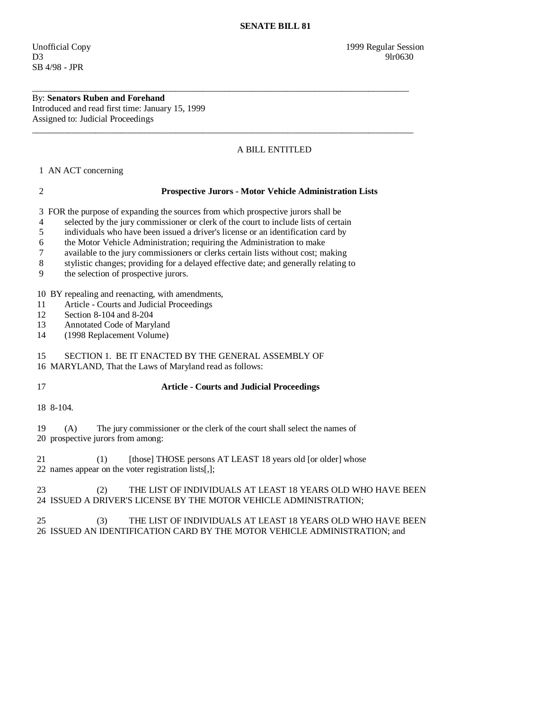By: **Senators Ruben and Forehand**  Introduced and read first time: January 15, 1999 Assigned to: Judicial Proceedings

## A BILL ENTITLED

1 AN ACT concerning

## 2 **Prospective Jurors - Motor Vehicle Administration Lists**

3 FOR the purpose of expanding the sources from which prospective jurors shall be

4 selected by the jury commissioner or clerk of the court to include lists of certain

\_\_\_\_\_\_\_\_\_\_\_\_\_\_\_\_\_\_\_\_\_\_\_\_\_\_\_\_\_\_\_\_\_\_\_\_\_\_\_\_\_\_\_\_\_\_\_\_\_\_\_\_\_\_\_\_\_\_\_\_\_\_\_\_\_\_\_\_\_\_\_\_\_\_\_\_\_\_\_\_\_\_\_\_

\_\_\_\_\_\_\_\_\_\_\_\_\_\_\_\_\_\_\_\_\_\_\_\_\_\_\_\_\_\_\_\_\_\_\_\_\_\_\_\_\_\_\_\_\_\_\_\_\_\_\_\_\_\_\_\_\_\_\_\_\_\_\_\_\_\_\_\_\_\_\_\_\_\_\_\_\_\_\_\_\_\_\_\_\_

5 individuals who have been issued a driver's license or an identification card by

6 the Motor Vehicle Administration; requiring the Administration to make

7 available to the jury commissioners or clerks certain lists without cost; making

8 stylistic changes; providing for a delayed effective date; and generally relating to

9 the selection of prospective jurors.

10 BY repealing and reenacting, with amendments,

11 Article - Courts and Judicial Proceedings

12 Section 8-104 and 8-204

13 Annotated Code of Maryland<br>14 (1998 Replacement Volume)

14 (1998 Replacement Volume)

15 SECTION 1. BE IT ENACTED BY THE GENERAL ASSEMBLY OF

16 MARYLAND, That the Laws of Maryland read as follows:

17 **Article - Courts and Judicial Proceedings** 

18 8-104.

19 (A) The jury commissioner or the clerk of the court shall select the names of

20 prospective jurors from among:

21 (1) [those] THOSE persons AT LEAST 18 years old [or older] whose 22 names appear on the voter registration lists[,];

 23 (2) THE LIST OF INDIVIDUALS AT LEAST 18 YEARS OLD WHO HAVE BEEN 24 ISSUED A DRIVER'S LICENSE BY THE MOTOR VEHICLE ADMINISTRATION;

## 25 (3) THE LIST OF INDIVIDUALS AT LEAST 18 YEARS OLD WHO HAVE BEEN 26 ISSUED AN IDENTIFICATION CARD BY THE MOTOR VEHICLE ADMINISTRATION; and